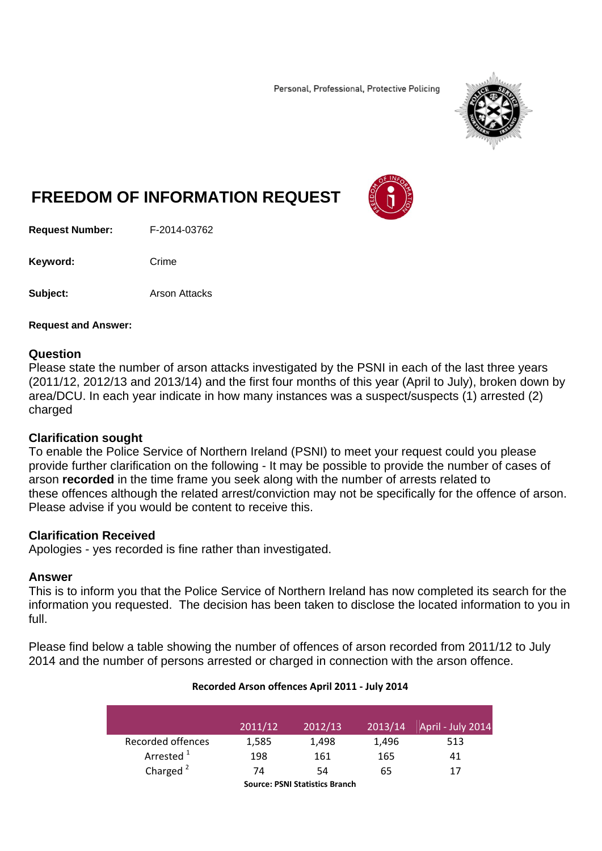Personal, Professional, Protective Policing



# **FREEDOM OF INFORMATION REQUEST**

**Request Number:** F-2014-03762

Keyword: Crime

**Subject: Arson Attacks** 

**Request and Answer:** 

#### **Question**

Please state the number of arson attacks investigated by the PSNI in each of the last three years (2011/12, 2012/13 and 2013/14) and the first four months of this year (April to July), broken down by area/DCU. In each year indicate in how many instances was a suspect/suspects (1) arrested (2) charged

## **Clarification sought**

To enable the Police Service of Northern Ireland (PSNI) to meet your request could you please provide further clarification on the following - It may be possible to provide the number of cases of arson **recorded** in the time frame you seek along with the number of arrests related to these offences although the related arrest/conviction may not be specifically for the offence of arson. Please advise if you would be content to receive this.

## **Clarification Received**

Apologies - yes recorded is fine rather than investigated.

#### **Answer**

This is to inform you that the Police Service of Northern Ireland has now completed its search for the information you requested. The decision has been taken to disclose the located information to you in full.

Please find below a table showing the number of offences of arson recorded from 2011/12 to July 2014 and the number of persons arrested or charged in connection with the arson offence.

|                       | 2011/12 | 2012/13 | 2013/14 | April - July 2014 |
|-----------------------|---------|---------|---------|-------------------|
| Recorded offences     | 1,585   | 1,498   | 1,496   | 513               |
| Arrested <sup>1</sup> | 198     | 161     | 165     | 41                |
| Charged $2$           | 74      | 54      | 65      | 17                |
|                       |         |         |         |                   |

#### **Recorded Arson offences April 2011 ‐ July 2014**

**Source: PSNI Statistics Branch**